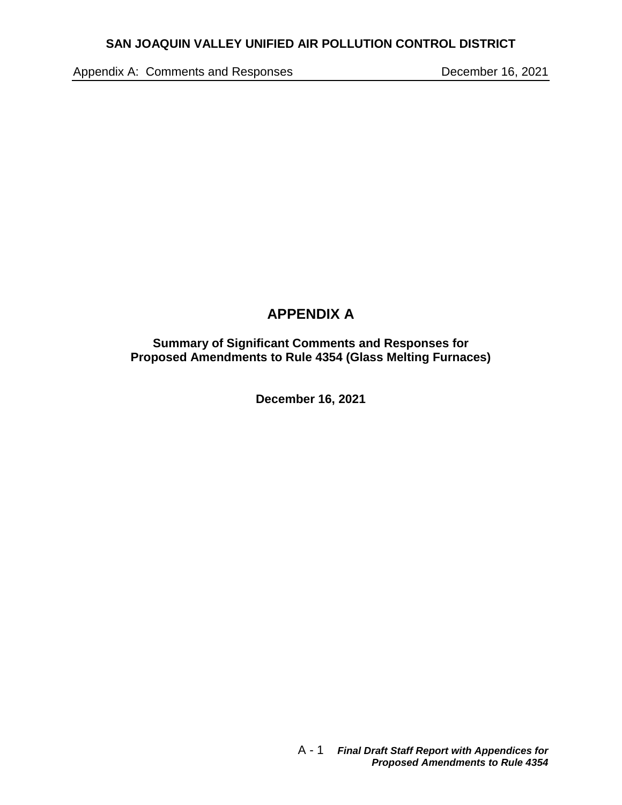Appendix A: Comments and Responses December 16, 2021

# **APPENDIX A**

**Summary of Significant Comments and Responses for Proposed Amendments to Rule 4354 (Glass Melting Furnaces)**

**December 16, 2021**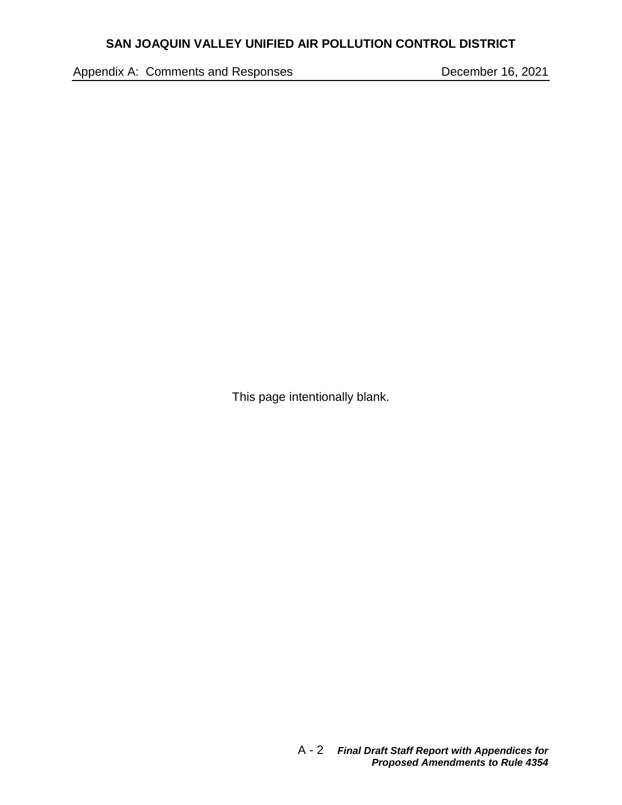Appendix A: Comments and Responses December 16, 2021

This page intentionally blank.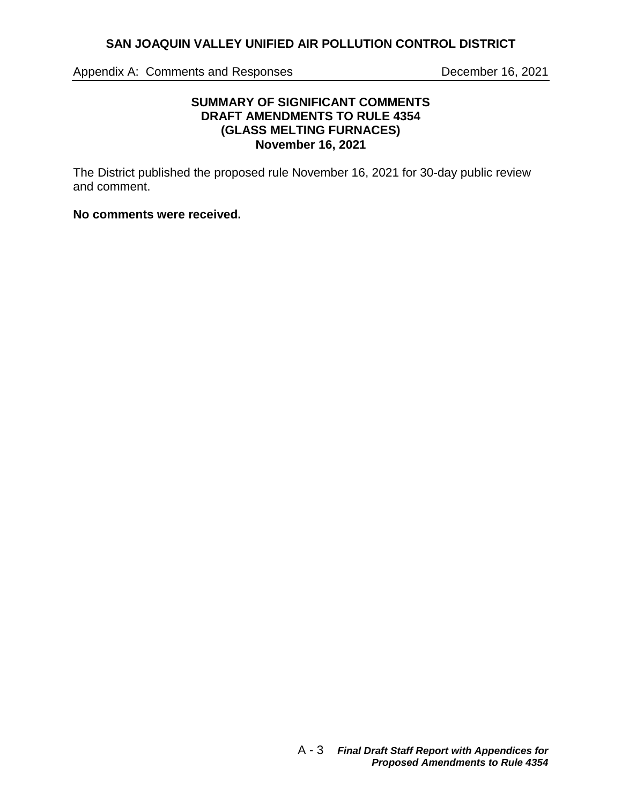Appendix A: Comments and Responses December 16, 2021

#### **SUMMARY OF SIGNIFICANT COMMENTS DRAFT AMENDMENTS TO RULE 4354 (GLASS MELTING FURNACES) November 16, 2021**

The District published the proposed rule November 16, 2021 for 30-day public review and comment.

**No comments were received.**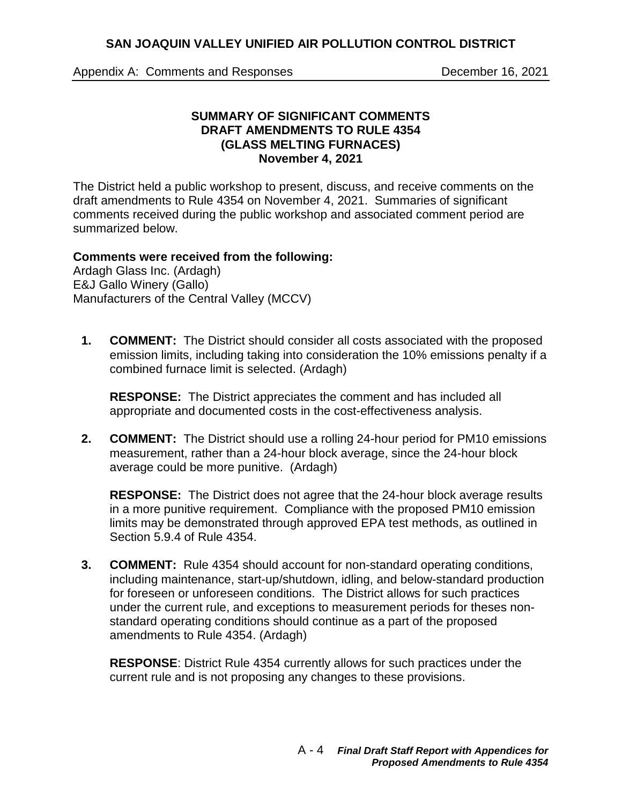Appendix A: Comments and Responses December 16, 2021

#### **SUMMARY OF SIGNIFICANT COMMENTS DRAFT AMENDMENTS TO RULE 4354 (GLASS MELTING FURNACES) November 4, 2021**

The District held a public workshop to present, discuss, and receive comments on the draft amendments to Rule 4354 on November 4, 2021. Summaries of significant comments received during the public workshop and associated comment period are summarized below.

#### **Comments were received from the following:**

Ardagh Glass Inc. (Ardagh) E&J Gallo Winery (Gallo) Manufacturers of the Central Valley (MCCV)

**1. COMMENT:** The District should consider all costs associated with the proposed emission limits, including taking into consideration the 10% emissions penalty if a combined furnace limit is selected. (Ardagh)

**RESPONSE:** The District appreciates the comment and has included all appropriate and documented costs in the cost-effectiveness analysis.

**2. COMMENT:** The District should use a rolling 24-hour period for PM10 emissions measurement, rather than a 24-hour block average, since the 24-hour block average could be more punitive. (Ardagh)

**RESPONSE:** The District does not agree that the 24-hour block average results in a more punitive requirement. Compliance with the proposed PM10 emission limits may be demonstrated through approved EPA test methods, as outlined in Section 5.9.4 of Rule 4354.

**3. COMMENT:** Rule 4354 should account for non-standard operating conditions, including maintenance, start-up/shutdown, idling, and below-standard production for foreseen or unforeseen conditions. The District allows for such practices under the current rule, and exceptions to measurement periods for theses nonstandard operating conditions should continue as a part of the proposed amendments to Rule 4354. (Ardagh)

**RESPONSE**: District Rule 4354 currently allows for such practices under the current rule and is not proposing any changes to these provisions.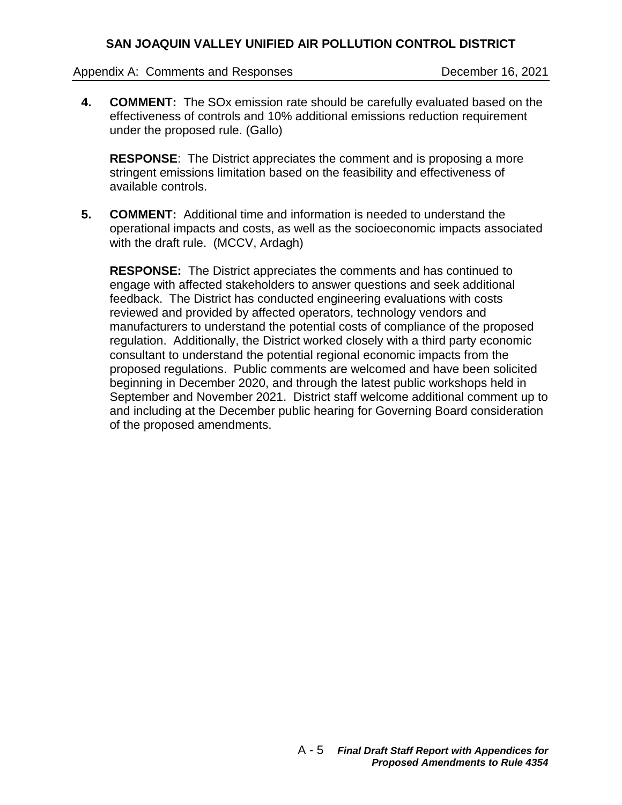#### Appendix A: Comments and Responses December 16, 2021

**4. COMMENT:** The SOx emission rate should be carefully evaluated based on the effectiveness of controls and 10% additional emissions reduction requirement under the proposed rule. (Gallo)

**RESPONSE**: The District appreciates the comment and is proposing a more stringent emissions limitation based on the feasibility and effectiveness of available controls.

**5. COMMENT:** Additional time and information is needed to understand the operational impacts and costs, as well as the socioeconomic impacts associated with the draft rule. (MCCV, Ardagh)

**RESPONSE:** The District appreciates the comments and has continued to engage with affected stakeholders to answer questions and seek additional feedback. The District has conducted engineering evaluations with costs reviewed and provided by affected operators, technology vendors and manufacturers to understand the potential costs of compliance of the proposed regulation. Additionally, the District worked closely with a third party economic consultant to understand the potential regional economic impacts from the proposed regulations. Public comments are welcomed and have been solicited beginning in December 2020, and through the latest public workshops held in September and November 2021. District staff welcome additional comment up to and including at the December public hearing for Governing Board consideration of the proposed amendments.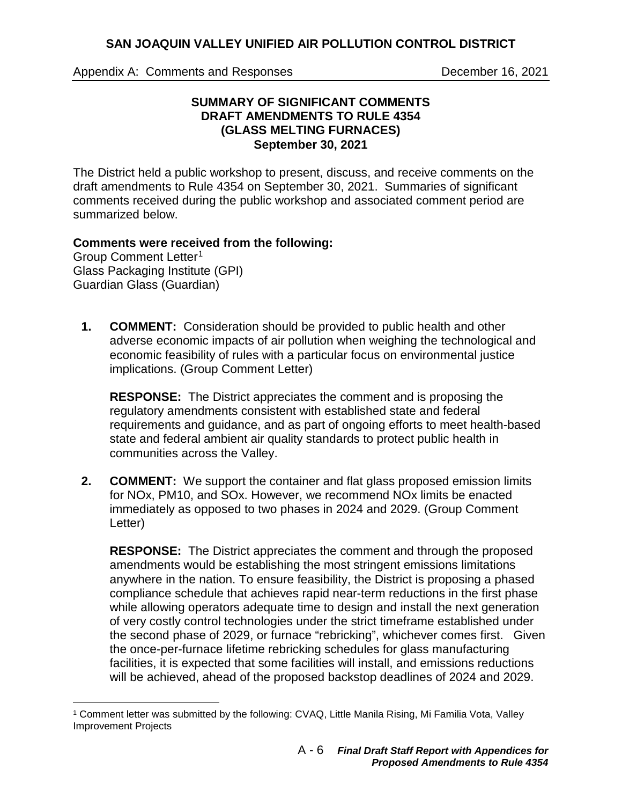Appendix A: Comments and Responses December 16, 2021

## **SUMMARY OF SIGNIFICANT COMMENTS DRAFT AMENDMENTS TO RULE 4354 (GLASS MELTING FURNACES) September 30, 2021**

The District held a public workshop to present, discuss, and receive comments on the draft amendments to Rule 4354 on September 30, 2021. Summaries of significant comments received during the public workshop and associated comment period are summarized below.

## **Comments were received from the following:**

Group Comment Letter<sup>[1](#page-5-0)</sup> Glass Packaging Institute (GPI) Guardian Glass (Guardian)

 $\overline{a}$ 

**1. COMMENT:** Consideration should be provided to public health and other adverse economic impacts of air pollution when weighing the technological and economic feasibility of rules with a particular focus on environmental justice implications. (Group Comment Letter)

**RESPONSE:** The District appreciates the comment and is proposing the regulatory amendments consistent with established state and federal requirements and guidance, and as part of ongoing efforts to meet health-based state and federal ambient air quality standards to protect public health in communities across the Valley.

**2. COMMENT:** We support the container and flat glass proposed emission limits for NOx, PM10, and SOx. However, we recommend NOx limits be enacted immediately as opposed to two phases in 2024 and 2029. (Group Comment Letter)

**RESPONSE:** The District appreciates the comment and through the proposed amendments would be establishing the most stringent emissions limitations anywhere in the nation. To ensure feasibility, the District is proposing a phased compliance schedule that achieves rapid near-term reductions in the first phase while allowing operators adequate time to design and install the next generation of very costly control technologies under the strict timeframe established under the second phase of 2029, or furnace "rebricking", whichever comes first. Given the once-per-furnace lifetime rebricking schedules for glass manufacturing facilities, it is expected that some facilities will install, and emissions reductions will be achieved, ahead of the proposed backstop deadlines of 2024 and 2029.

<span id="page-5-0"></span><sup>1</sup> Comment letter was submitted by the following: CVAQ, Little Manila Rising, Mi Familia Vota, Valley Improvement Projects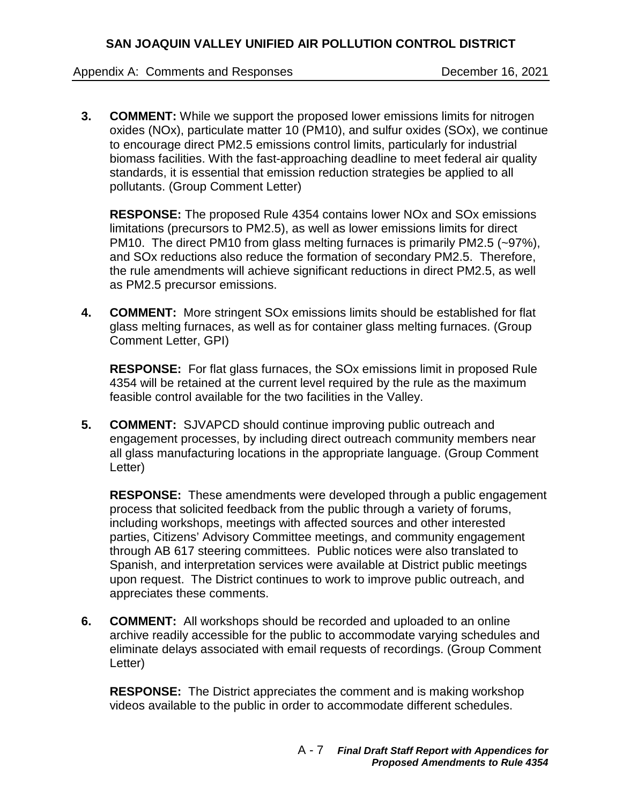#### Appendix A: Comments and Responses December 16, 2021

**3. COMMENT:** While we support the proposed lower emissions limits for nitrogen oxides (NOx), particulate matter 10 (PM10), and sulfur oxides (SOx), we continue to encourage direct PM2.5 emissions control limits, particularly for industrial biomass facilities. With the fast-approaching deadline to meet federal air quality standards, it is essential that emission reduction strategies be applied to all pollutants. (Group Comment Letter)

**RESPONSE:** The proposed Rule 4354 contains lower NOx and SOx emissions limitations (precursors to PM2.5), as well as lower emissions limits for direct PM10. The direct PM10 from glass melting furnaces is primarily PM2.5 (~97%), and SOx reductions also reduce the formation of secondary PM2.5. Therefore, the rule amendments will achieve significant reductions in direct PM2.5, as well as PM2.5 precursor emissions.

**4. COMMENT:** More stringent SOx emissions limits should be established for flat glass melting furnaces, as well as for container glass melting furnaces. (Group Comment Letter, GPI)

**RESPONSE:** For flat glass furnaces, the SOx emissions limit in proposed Rule 4354 will be retained at the current level required by the rule as the maximum feasible control available for the two facilities in the Valley.

**5. COMMENT:** SJVAPCD should continue improving public outreach and engagement processes, by including direct outreach community members near all glass manufacturing locations in the appropriate language. (Group Comment Letter)

**RESPONSE:** These amendments were developed through a public engagement process that solicited feedback from the public through a variety of forums, including workshops, meetings with affected sources and other interested parties, Citizens' Advisory Committee meetings, and community engagement through AB 617 steering committees. Public notices were also translated to Spanish, and interpretation services were available at District public meetings upon request. The District continues to work to improve public outreach, and appreciates these comments.

**6. COMMENT:** All workshops should be recorded and uploaded to an online archive readily accessible for the public to accommodate varying schedules and eliminate delays associated with email requests of recordings. (Group Comment Letter)

**RESPONSE:** The District appreciates the comment and is making workshop videos available to the public in order to accommodate different schedules.